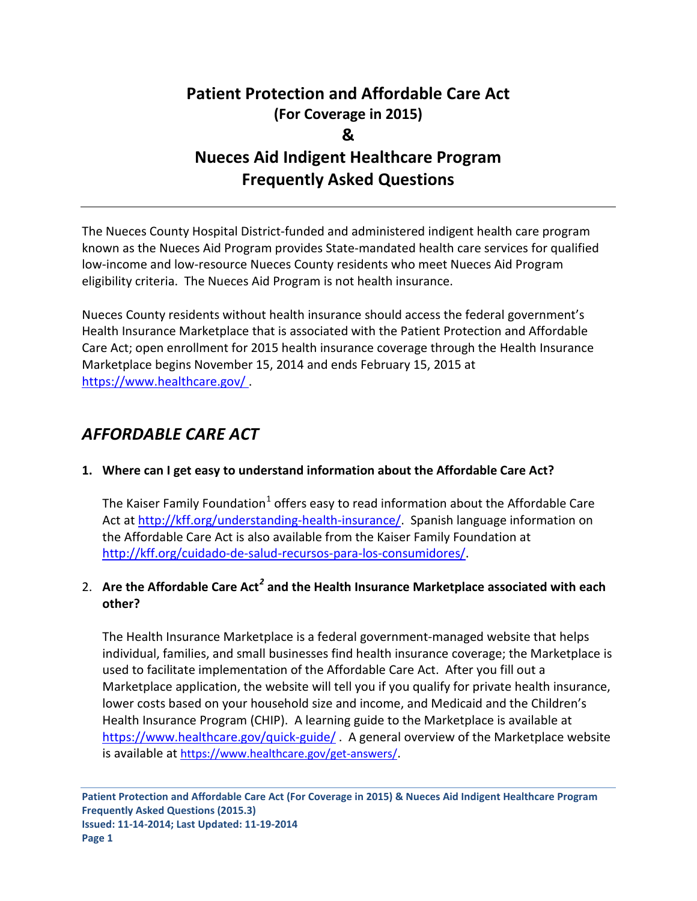# **Patient Protection and Affordable Care Act (For Coverage in 2015) & Nueces Aid Indigent Healthcare Program Frequently Asked Questions**

The Nueces County Hospital District-funded and administered indigent health care program known as the Nueces Aid Program provides State-mandated health care services for qualified low-income and low-resource Nueces County residents who meet Nueces Aid Program eligibility criteria. The Nueces Aid Program is not health insurance.

Nueces County residents without health insurance should access the federal government's Health Insurance Marketplace that is associated with the Patient Protection and Affordable Care Act; open enrollment for 2015 health insurance coverage through the Health Insurance Marketplace begins November 15, 2014 and ends February 15, 2015 at <https://www.healthcare.gov/> .

## *AFFORDABLE CARE ACT*

### **1. Where can I get easy to understand information about the Affordable Care Act?**

The Kaiser Family Foundation<sup>[1](#page-7-0)</sup> offers easy to read information about the Affordable Care Act at [http://kff.org/understanding-health-insurance/.](http://kff.org/understanding-health-insurance/) Spanish language information on the Affordable Care Act is also available from the Kaiser Family Foundation at [http://kff.org/cuidado-de-salud-recursos-para-los-consumidores/.](http://kff.org/cuidado-de-salud-recursos-para-los-consumidores/)

## 2. **Are the Affordable Care Act***[2](#page-7-1)* **and the Health Insurance Marketplace associated with each other?**

The Health Insurance Marketplace is a federal government-managed website that helps individual, families, and small businesses find health insurance coverage; the Marketplace is used to facilitate implementation of the Affordable Care Act. After you fill out a Marketplace application, the website will tell you if you qualify for private health insurance, lower costs based on your household size and income, and Medicaid and the Children's Health Insurance Program (CHIP). A learning guide to the Marketplace is available at <https://www.healthcare.gov/quick-guide/>. A general overview of the Marketplace website is available at [https://www.healthcare.gov/get-answers/.](https://www.healthcare.gov/get-answers/)

**Patient Protection and Affordable Care Act (For Coverage in 2015) & Nueces Aid Indigent Healthcare Program Frequently Asked Questions (2015.3) Issued: 11-14-2014; Last Updated: 11-19-2014 Page 1**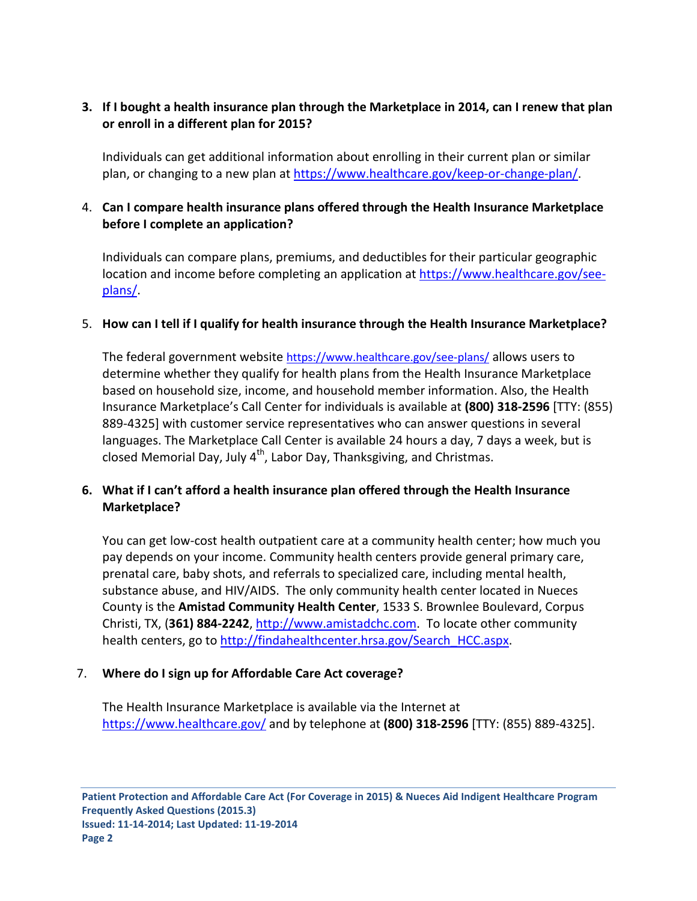## **3. If I bought a health insurance plan through the Marketplace in 2014, can I renew that plan or enroll in a different plan for 2015?**

Individuals can get additional information about enrolling in their current plan or similar plan, or changing to a new plan at [https://www.healthcare.gov/keep-or-change-plan/.](https://www.healthcare.gov/keep-or-change-plan/)

## 4. **Can I compare health insurance plans offered through the Health Insurance Marketplace before I complete an application?**

Individuals can compare plans, premiums, and deductibles for their particular geographic location and income before completing an application at [https://www.healthcare.gov/see](https://www.healthcare.gov/see-plans/)[plans/.](https://www.healthcare.gov/see-plans/)

#### 5. **How can I tell if I qualify for health insurance through the Health Insurance Marketplace?**

The federal government website<https://www.healthcare.gov/see-plans/> allows users to determine whether they qualify for health plans from the Health Insurance Marketplace based on household size, income, and household member information. Also, the Health Insurance Marketplace's Call Center for individuals is available at **(800) 318-2596** [TTY: (855) 889-4325] with customer service representatives who can answer questions in several languages. The Marketplace Call Center is available 24 hours a day, 7 days a week, but is closed Memorial Day, July  $4^{th}$ , Labor Day, Thanksgiving, and Christmas.

## **6. What if I can't afford a health insurance plan offered through the Health Insurance Marketplace?**

You can get low-cost health outpatient care at a community health center; how much you pay depends on your income. Community health centers provide general primary care, prenatal care, baby shots, and referrals to specialized care, including mental health, substance abuse, and HIV/AIDS. The only community health center located in Nueces County is the **Amistad Community Health Center**, 1533 S. Brownlee Boulevard, Corpus Christi, TX, (**361) 884-2242**, [http://www.amistadchc.com.](http://www.amistadchc.com/) To locate other community health centers, go to [http://findahealthcenter.hrsa.gov/Search\\_HCC.aspx.](http://findahealthcenter.hrsa.gov/Search_HCC.aspx)

### 7. **Where do I sign up for Affordable Care Act coverage?**

The Health Insurance Marketplace is available via the Internet at <https://www.healthcare.gov/> and by telephone at **(800) 318-2596** [TTY: (855) 889-4325].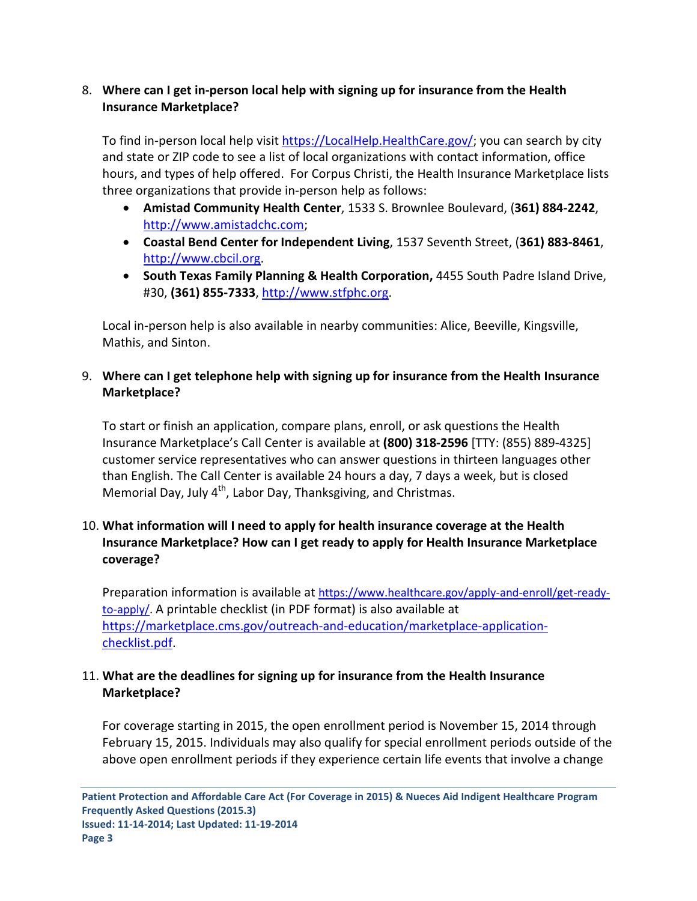## 8. **Where can I get in-person local help with signing up for insurance from the Health Insurance Marketplace?**

To find in-person local help visi[t https://LocalHelp.HealthCare.gov/;](https://localhelp.healthcare.gov/) you can search by city and state or ZIP code to see a list of local organizations with contact information, office hours, and types of help offered. For Corpus Christi, the Health Insurance Marketplace lists three organizations that provide in-person help as follows:

- **Amistad Community Health Center**, 1533 S. Brownlee Boulevard, (**361) 884-2242**, [http://www.amistadchc.com;](http://www.amistadchc.com/)
- **Coastal Bend Center for Independent Living**, 1537 Seventh Street, (**361) 883-8461**, [http://www.cbcil.org.](http://www.cbcil.org/)
- **South Texas Family Planning & Health Corporation,** 4455 South Padre Island Drive, #30, **(361) 855-7333**, [http://www.stfphc.org.](http://www.stfphc.org/)

Local in-person help is also available in nearby communities: Alice, Beeville, Kingsville, Mathis, and Sinton.

## 9. **Where can I get telephone help with signing up for insurance from the Health Insurance Marketplace?**

To start or finish an application, compare plans, enroll, or ask questions the Health Insurance Marketplace's Call Center is available at **(800) 318-2596** [TTY: (855) 889-4325] customer service representatives who can answer questions in thirteen languages other than English. The Call Center is available 24 hours a day, 7 days a week, but is closed Memorial Day, July  $4<sup>th</sup>$ , Labor Day, Thanksgiving, and Christmas.

## 10. **What information will I need to apply for health insurance coverage at the Health Insurance Marketplace? How can I get ready to apply for Health Insurance Marketplace coverage?**

Preparation information is available a[t https://www.healthcare.gov/apply-and-enroll/get-ready](https://www.healthcare.gov/apply-and-enroll/get-ready-to-apply/)[to-apply/.](https://www.healthcare.gov/apply-and-enroll/get-ready-to-apply/) A printable checklist (in PDF format) is also available at [https://marketplace.cms.gov/outreach-and-education/marketplace-application](https://marketplace.cms.gov/outreach-and-education/marketplace-application-checklist.pdf)[checklist.pdf.](https://marketplace.cms.gov/outreach-and-education/marketplace-application-checklist.pdf)

## 11. **What are the deadlines for signing up for insurance from the Health Insurance Marketplace?**

For coverage starting in 2015, the open enrollment period is November 15, 2014 through February 15, 2015. Individuals may also qualify for special enrollment periods outside of the above open enrollment periods if they experience certain life events that involve a change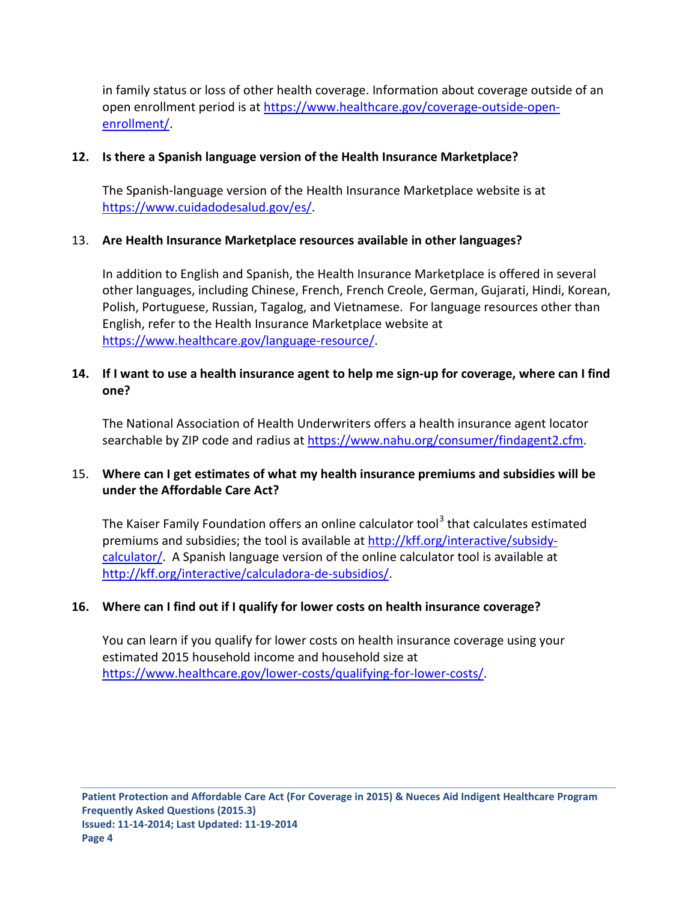in family status or loss of other health coverage. Information about coverage outside of an open enrollment period is a[t https://www.healthcare.gov/coverage-outside-open](https://www.healthcare.gov/coverage-outside-open-enrollment/)[enrollment/.](https://www.healthcare.gov/coverage-outside-open-enrollment/)

### **12. Is there a Spanish language version of the Health Insurance Marketplace?**

The Spanish-language version of the Health Insurance Marketplace website is at [https://www.cuidadodesalud.gov/es/.](https://www.cuidadodesalud.gov/es/)

## 13. **Are Health Insurance Marketplace resources available in other languages?**

In addition to English and Spanish, the Health Insurance Marketplace is offered in several other languages, including Chinese, French, French Creole, German, Gujarati, Hindi, Korean, Polish, Portuguese, Russian, Tagalog, and Vietnamese. For language resources other than English, refer to the Health Insurance Marketplace website at [https://www.healthcare.gov/language-resource/.](https://www.healthcare.gov/language-resource/)

## **14. If I want to use a health insurance agent to help me sign-up for coverage, where can I find one?**

The National Association of Health Underwriters offers a health insurance agent locator searchable by ZIP code and radius at [https://www.nahu.org/consumer/findagent2.cfm.](https://www.nahu.org/consumer/findagent2.cfm)

## 15. **Where can I get estimates of what my health insurance premiums and subsidies will be under the Affordable Care Act?**

The Kaiser Family Foundation offers an online calculator tool<sup>[3](#page-7-2)</sup> that calculates estimated premiums and subsidies; the tool is available at [http://kff.org/interactive/subsidy](http://kff.org/interactive/subsidy-calculator/)[calculator/.](http://kff.org/interactive/subsidy-calculator/) A Spanish language version of the online calculator tool is available at [http://kff.org/interactive/calculadora-de-subsidios/.](http://kff.org/interactive/calculadora-de-subsidios/)

## **16. Where can I find out if I qualify for lower costs on health insurance coverage?**

You can learn if you qualify for lower costs on health insurance coverage using your estimated 2015 household income and household size at [https://www.healthcare.gov/lower-costs/qualifying-for-lower-costs/.](https://www.healthcare.gov/lower-costs/qualifying-for-lower-costs/)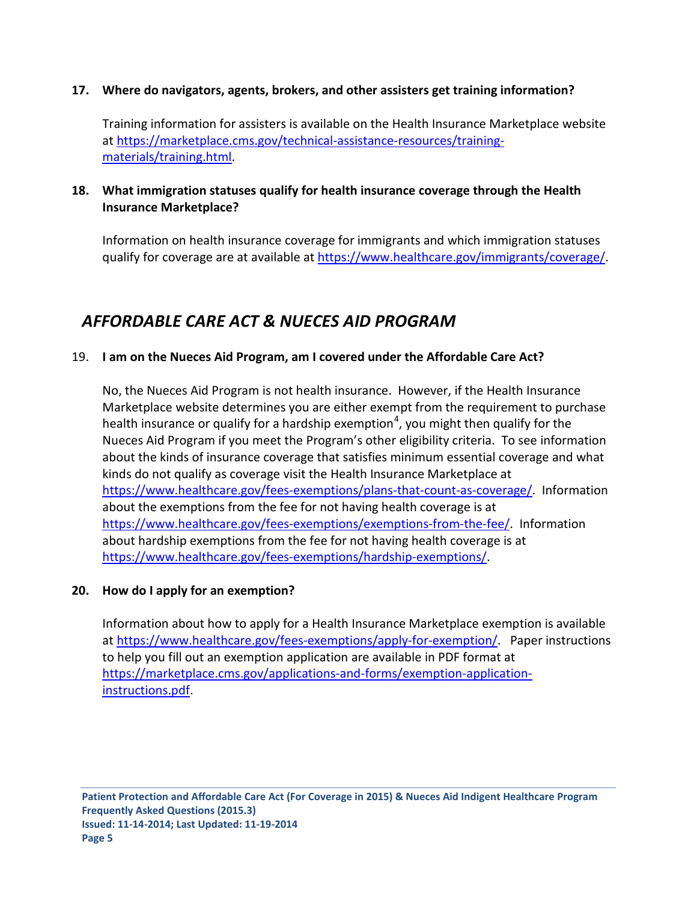#### **17. Where do navigators, agents, brokers, and other assisters get training information?**

Training information for assisters is available on the Health Insurance Marketplace website at [https://marketplace.cms.gov/technical-assistance-resources/training](https://marketplace.cms.gov/technical-assistance-resources/training-materials/training.html)[materials/training.html.](https://marketplace.cms.gov/technical-assistance-resources/training-materials/training.html)

## **18. What immigration statuses qualify for health insurance coverage through the Health Insurance Marketplace?**

Information on health insurance coverage for immigrants and which immigration statuses qualify for coverage are at available at [https://www.healthcare.gov/immigrants/coverage/.](https://www.healthcare.gov/immigrants/coverage/)

## *AFFORDABLE CARE ACT & NUECES AID PROGRAM*

### 19. **I am on the Nueces Aid Program, am I covered under the Affordable Care Act?**

No, the Nueces Aid Program is not health insurance. However, if the Health Insurance Marketplace website determines you are either exempt from the requirement to purchase health insurance or qualify for a hardship exemption<sup>[4](#page-7-3)</sup>, you might then qualify for the Nueces Aid Program if you meet the Program's other eligibility criteria. To see information about the kinds of insurance coverage that satisfies minimum essential coverage and what kinds do not qualify as coverage visit the Health Insurance Marketplace at [https://www.healthcare.gov/fees-exemptions/plans-that-count-as-coverage/.](https://www.healthcare.gov/fees-exemptions/plans-that-count-as-coverage/) Information about the exemptions from the fee for not having health coverage is at [https://www.healthcare.gov/fees-exemptions/exemptions-from-the-fee/.](https://www.healthcare.gov/fees-exemptions/exemptions-from-the-fee/) Information about hardship exemptions from the fee for not having health coverage is at [https://www.healthcare.gov/fees-exemptions/hardship-exemptions/.](https://www.healthcare.gov/fees-exemptions/hardship-exemptions/)

#### **20. How do I apply for an exemption?**

Information about how to apply for a Health Insurance Marketplace exemption is available at [https://www.healthcare.gov/fees-exemptions/apply-for-exemption/.](https://www.healthcare.gov/fees-exemptions/apply-for-exemption/) Paper instructions to help you fill out an exemption application are available in PDF format at [https://marketplace.cms.gov/applications-and-forms/exemption-application](https://marketplace.cms.gov/applications-and-forms/exemption-application-instructions.pdf)[instructions.pdf.](https://marketplace.cms.gov/applications-and-forms/exemption-application-instructions.pdf)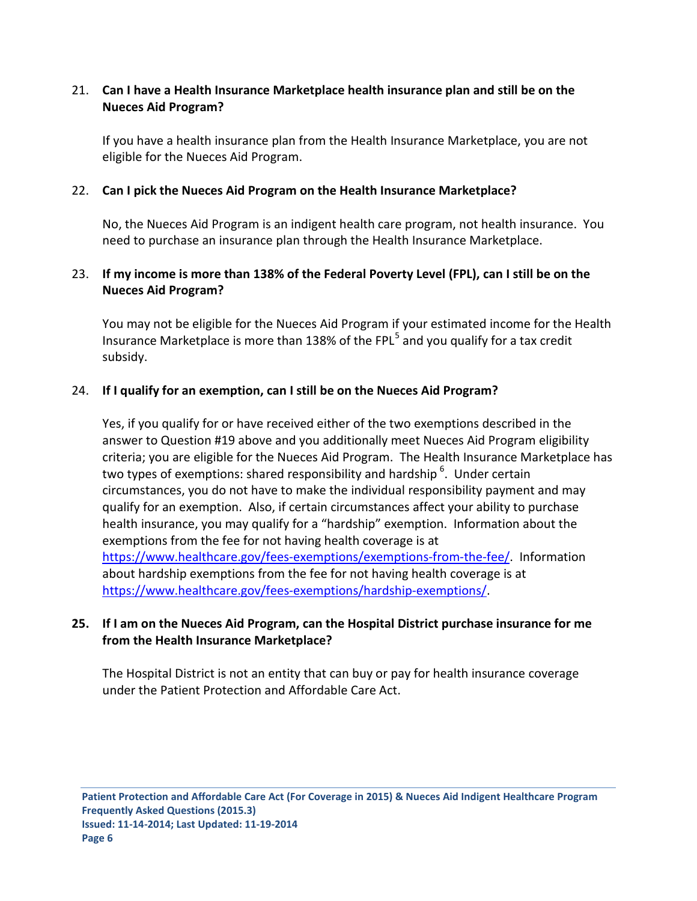## 21. **Can I have a Health Insurance Marketplace health insurance plan and still be on the Nueces Aid Program?**

If you have a health insurance plan from the Health Insurance Marketplace, you are not eligible for the Nueces Aid Program.

### 22. **Can I pick the Nueces Aid Program on the Health Insurance Marketplace?**

No, the Nueces Aid Program is an indigent health care program, not health insurance. You need to purchase an insurance plan through the Health Insurance Marketplace.

## 23. **If my income is more than 138% of the Federal Poverty Level (FPL), can I still be on the Nueces Aid Program?**

You may not be eligible for the Nueces Aid Program if your estimated income for the Health Insurance Marketplace is more than 138% of the FPL<sup>[5](#page-7-4)</sup> and you qualify for a tax credit subsidy.

## 24. **If I qualify for an exemption, can I still be on the Nueces Aid Program?**

Yes, if you qualify for or have received either of the two exemptions described in the answer to Question #19 above and you additionally meet Nueces Aid Program eligibility criteria; you are eligible for the Nueces Aid Program. The Health Insurance Marketplace has two types of exemptions: shared responsibility and hardship  $6$ . Under certain circumstances, you do not have to make the individual responsibility payment and may qualify for an exemption. Also, if certain circumstances affect your ability to purchase health insurance, you may qualify for a "hardship" exemption. Information about the exemptions from the fee for not having health coverage is at [https://www.healthcare.gov/fees-exemptions/exemptions-from-the-fee/.](https://www.healthcare.gov/fees-exemptions/exemptions-from-the-fee/) Information about hardship exemptions from the fee for not having health coverage is at [https://www.healthcare.gov/fees-exemptions/hardship-exemptions/.](https://www.healthcare.gov/fees-exemptions/hardship-exemptions/)

## **25. If I am on the Nueces Aid Program, can the Hospital District purchase insurance for me from the Health Insurance Marketplace?**

The Hospital District is not an entity that can buy or pay for health insurance coverage under the Patient Protection and Affordable Care Act.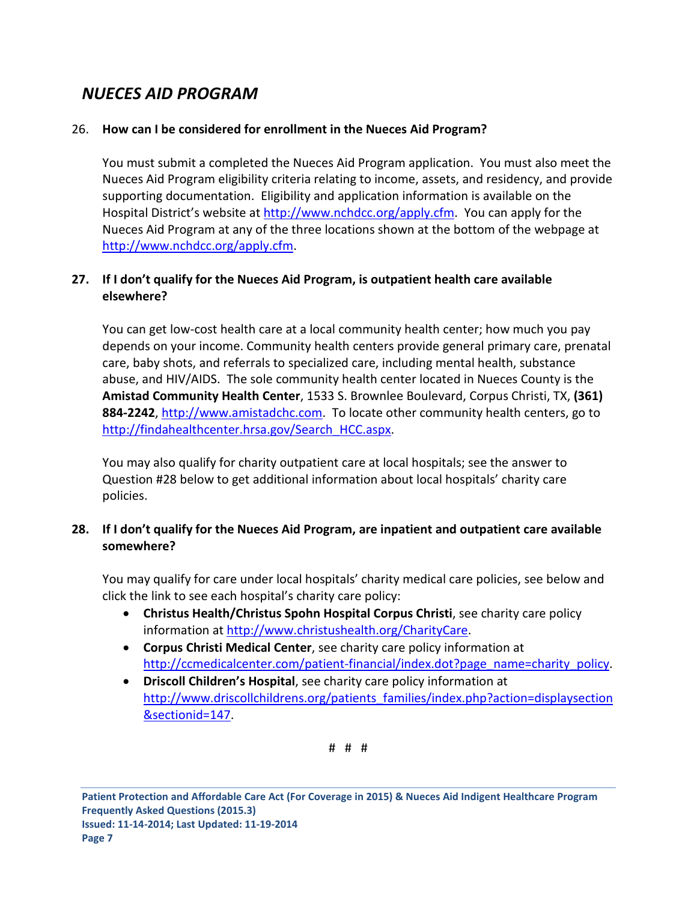# *NUECES AID PROGRAM*

## 26. **How can I be considered for enrollment in the Nueces Aid Program?**

You must submit a completed the Nueces Aid Program application. You must also meet the Nueces Aid Program eligibility criteria relating to income, assets, and residency, and provide supporting documentation. Eligibility and application information is available on the Hospital District's website at [http://www.nchdcc.org/apply.cfm.](http://www.nchdcc.org/apply.cfm) You can apply for the Nueces Aid Program at any of the three locations shown at the bottom of the webpage at [http://www.nchdcc.org/apply.cfm.](http://www.nchdcc.org/apply.cfm)

## **27. If I don't qualify for the Nueces Aid Program, is outpatient health care available elsewhere?**

You can get low-cost health care at a local community health center; how much you pay depends on your income. Community health centers provide general primary care, prenatal care, baby shots, and referrals to specialized care, including mental health, substance abuse, and HIV/AIDS. The sole community health center located in Nueces County is the **Amistad Community Health Center**, 1533 S. Brownlee Boulevard, Corpus Christi, TX, **(361)**  884-2242, [http://www.amistadchc.com.](http://www.amistadchc.com/) To locate other community health centers, go to [http://findahealthcenter.hrsa.gov/Search\\_HCC.aspx.](http://findahealthcenter.hrsa.gov/Search_HCC.aspx)

You may also qualify for charity outpatient care at local hospitals; see the answer to Question #28 below to get additional information about local hospitals' charity care policies.

## **28. If I don't qualify for the Nueces Aid Program, are inpatient and outpatient care available somewhere?**

You may qualify for care under local hospitals' charity medical care policies, see below and click the link to see each hospital's charity care policy:

- **Christus Health/Christus Spohn Hospital Corpus Christi**, see charity care policy information at [http://www.christushealth.org/CharityCare.](http://www.christushealth.org/CharityCare)
- **Corpus Christi Medical Center**, see charity care policy information at [http://ccmedicalcenter.com/patient-financial/index.dot?page\\_name=charity\\_policy.](http://ccmedicalcenter.com/patient-financial/index.dot?page_name=charity_policy)
- **Driscoll Children's Hospital**, see charity care policy information at [http://www.driscollchildrens.org/patients\\_families/index.php?action=displaysection](http://www.driscollchildrens.org/patients_families/index.php?action=displaysection§ionid=147) [&sectionid=147.](http://www.driscollchildrens.org/patients_families/index.php?action=displaysection§ionid=147)

# # #

**Patient Protection and Affordable Care Act (For Coverage in 2015) & Nueces Aid Indigent Healthcare Program Frequently Asked Questions (2015.3) Issued: 11-14-2014; Last Updated: 11-19-2014 Page 7**